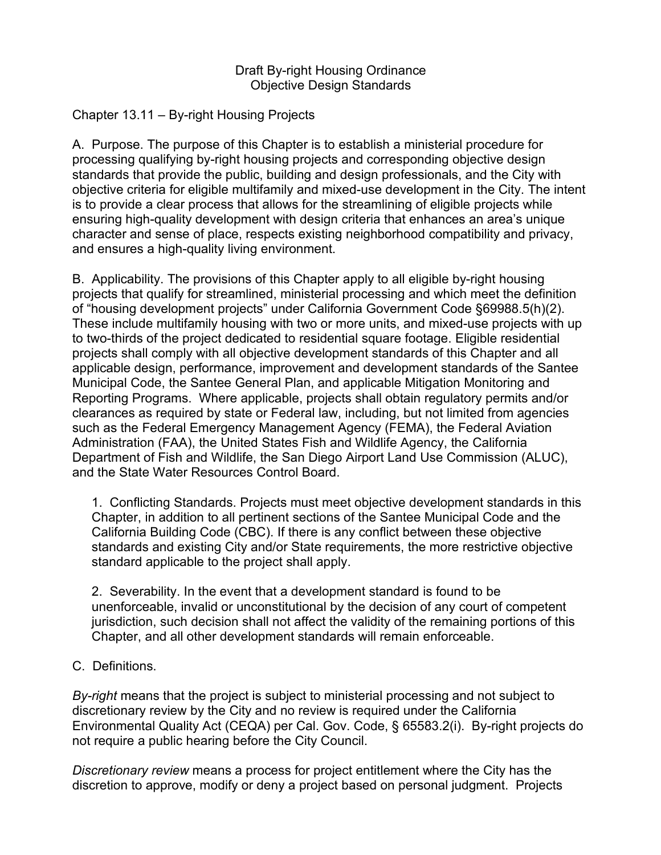## Draft By-right Housing Ordinance Objective Design Standards

## Chapter 13.11 – By-right Housing Projects

A. Purpose. The purpose of this Chapter is to establish a ministerial procedure for processing qualifying by-right housing projects and corresponding objective design standards that provide the public, building and design professionals, and the City with objective criteria for eligible multifamily and mixed-use development in the City. The intent is to provide a clear process that allows for the streamlining of eligible projects while ensuring high-quality development with design criteria that enhances an area's unique character and sense of place, respects existing neighborhood compatibility and privacy, and ensures a high-quality living environment.

B. Applicability. The provisions of this Chapter apply to all eligible by-right housing projects that qualify for streamlined, ministerial processing and which meet the definition of "housing development projects" under California Government Code §69988.5(h)(2). These include multifamily housing with two or more units, and mixed-use projects with up to two-thirds of the project dedicated to residential square footage. Eligible residential projects shall comply with all objective development standards of this Chapter and all applicable design, performance, improvement and development standards of the Santee Municipal Code, the Santee General Plan, and applicable Mitigation Monitoring and Reporting Programs. Where applicable, projects shall obtain regulatory permits and/or clearances as required by state or Federal law, including, but not limited from agencies such as the Federal Emergency Management Agency (FEMA), the Federal Aviation Administration (FAA), the United States Fish and Wildlife Agency, the California Department of Fish and Wildlife, the San Diego Airport Land Use Commission (ALUC), and the State Water Resources Control Board.

1. Conflicting Standards. Projects must meet objective development standards in this Chapter, in addition to all pertinent sections of the Santee Municipal Code and the California Building Code (CBC). If there is any conflict between these objective standards and existing City and/or State requirements, the more restrictive objective standard applicable to the project shall apply.

2. Severability. In the event that a development standard is found to be unenforceable, invalid or unconstitutional by the decision of any court of competent jurisdiction, such decision shall not affect the validity of the remaining portions of this Chapter, and all other development standards will remain enforceable.

C. Definitions.

*By-right* means that the project is subject to ministerial processing and not subject to discretionary review by the City and no review is required under the California Environmental Quality Act (CEQA) per Cal. Gov. Code, § 65583.2(i). By-right projects do not require a public hearing before the City Council.

*Discretionary review* means a process for project entitlement where the City has the discretion to approve, modify or deny a project based on personal judgment. Projects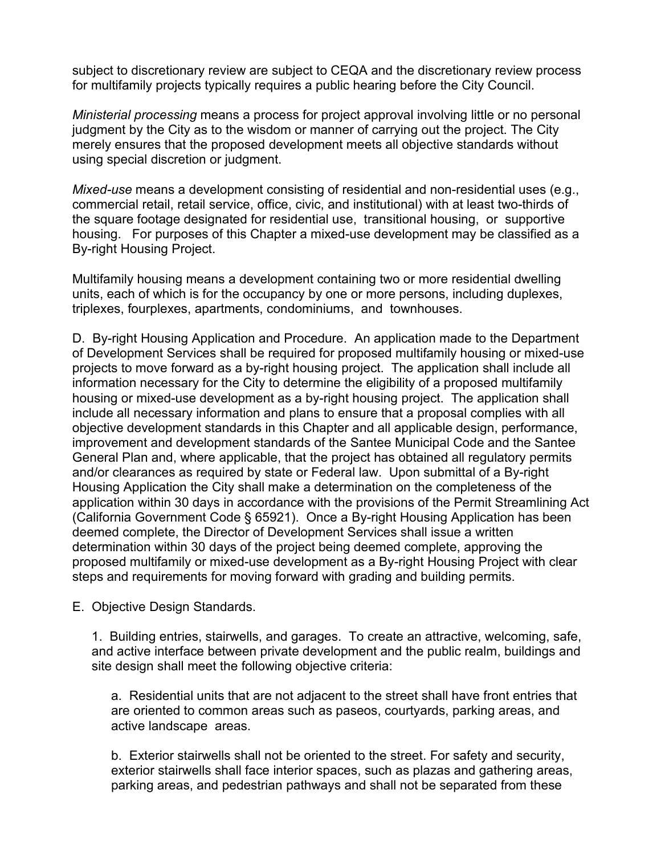subject to discretionary review are subject to CEQA and the discretionary review process for multifamily projects typically requires a public hearing before the City Council.

*Ministerial processing* means a process for project approval involving little or no personal judgment by the City as to the wisdom or manner of carrying out the project. The City merely ensures that the proposed development meets all objective standards without using special discretion or judgment.

*Mixed-use* means a development consisting of residential and non-residential uses (e.g., commercial retail, retail service, office, civic, and institutional) with at least two-thirds of the square footage designated for residential use, transitional housing, or supportive housing. For purposes of this Chapter a mixed-use development may be classified as a By-right Housing Project.

Multifamily housing means a development containing two or more residential dwelling units, each of which is for the occupancy by one or more persons, including duplexes, triplexes, fourplexes, apartments, condominiums, and townhouses.

D. By-right Housing Application and Procedure. An application made to the Department of Development Services shall be required for proposed multifamily housing or mixed-use projects to move forward as a by-right housing project. The application shall include all information necessary for the City to determine the eligibility of a proposed multifamily housing or mixed-use development as a by-right housing project. The application shall include all necessary information and plans to ensure that a proposal complies with all objective development standards in this Chapter and all applicable design, performance, improvement and development standards of the Santee Municipal Code and the Santee General Plan and, where applicable, that the project has obtained all regulatory permits and/or clearances as required by state or Federal law. Upon submittal of a By-right Housing Application the City shall make a determination on the completeness of the application within 30 days in accordance with the provisions of the Permit Streamlining Act (California Government Code § 65921). Once a By-right Housing Application has been deemed complete, the Director of Development Services shall issue a written determination within 30 days of the project being deemed complete, approving the proposed multifamily or mixed-use development as a By-right Housing Project with clear steps and requirements for moving forward with grading and building permits.

E. Objective Design Standards.

1. Building entries, stairwells, and garages. To create an attractive, welcoming, safe, and active interface between private development and the public realm, buildings and site design shall meet the following objective criteria:

a. Residential units that are not adjacent to the street shall have front entries that are oriented to common areas such as paseos, courtyards, parking areas, and active landscape areas.

b. Exterior stairwells shall not be oriented to the street. For safety and security, exterior stairwells shall face interior spaces, such as plazas and gathering areas, parking areas, and pedestrian pathways and shall not be separated from these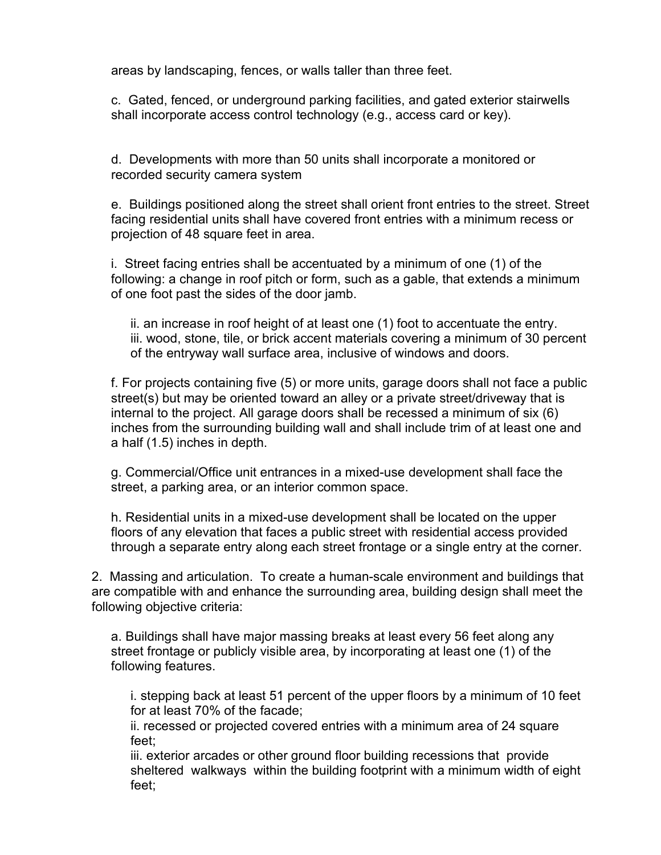areas by landscaping, fences, or walls taller than three feet.

c. Gated, fenced, or underground parking facilities, and gated exterior stairwells shall incorporate access control technology (e.g., access card or key).

d. Developments with more than 50 units shall incorporate a monitored or recorded security camera system

e. Buildings positioned along the street shall orient front entries to the street. Street facing residential units shall have covered front entries with a minimum recess or projection of 48 square feet in area.

i. Street facing entries shall be accentuated by a minimum of one (1) of the following: a change in roof pitch or form, such as a gable, that extends a minimum of one foot past the sides of the door jamb.

ii. an increase in roof height of at least one (1) foot to accentuate the entry. iii. wood, stone, tile, or brick accent materials covering a minimum of 30 percent of the entryway wall surface area, inclusive of windows and doors.

f. For projects containing five (5) or more units, garage doors shall not face a public street(s) but may be oriented toward an alley or a private street/driveway that is internal to the project. All garage doors shall be recessed a minimum of six (6) inches from the surrounding building wall and shall include trim of at least one and a half (1.5) inches in depth.

g. Commercial/Office unit entrances in a mixed-use development shall face the street, a parking area, or an interior common space.

h. Residential units in a mixed-use development shall be located on the upper floors of any elevation that faces a public street with residential access provided through a separate entry along each street frontage or a single entry at the corner.

2. Massing and articulation. To create a human-scale environment and buildings that are compatible with and enhance the surrounding area, building design shall meet the following objective criteria:

a. Buildings shall have major massing breaks at least every 56 feet along any street frontage or publicly visible area, by incorporating at least one (1) of the following features.

i. stepping back at least 51 percent of the upper floors by a minimum of 10 feet for at least 70% of the facade;

ii. recessed or projected covered entries with a minimum area of 24 square feet;

iii. exterior arcades or other ground floor building recessions that provide sheltered walkways within the building footprint with a minimum width of eight feet;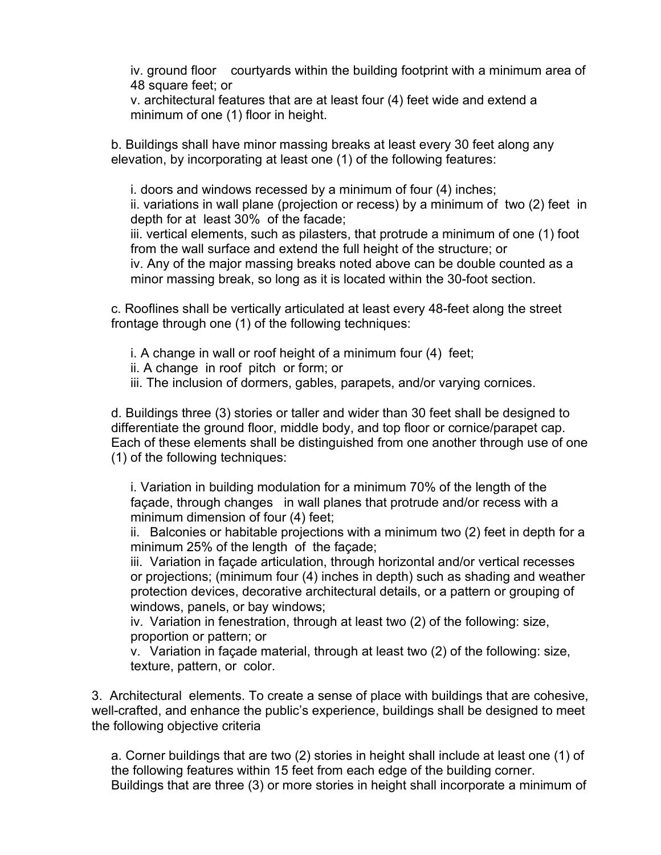iv. ground floor courtyards within the building footprint with a minimum area of 48 square feet; or

v. architectural features that are at least four (4) feet wide and extend a minimum of one (1) floor in height.

b. Buildings shall have minor massing breaks at least every 30 feet along any elevation, by incorporating at least one (1) of the following features:

i. doors and windows recessed by a minimum of four (4) inches; ii. variations in wall plane (projection or recess) by a minimum of two (2) feet in depth for at least 30% of the facade;

iii. vertical elements, such as pilasters, that protrude a minimum of one (1) foot from the wall surface and extend the full height of the structure; or iv. Any of the major massing breaks noted above can be double counted as a minor massing break, so long as it is located within the 30-foot section.

c. Rooflines shall be vertically articulated at least every 48-feet along the street frontage through one (1) of the following techniques:

i. A change in wall or roof height of a minimum four (4) feet;

ii. A change in roof pitch or form; or

iii. The inclusion of dormers, gables, parapets, and/or varying cornices.

d. Buildings three (3) stories or taller and wider than 30 feet shall be designed to differentiate the ground floor, middle body, and top floor or cornice/parapet cap. Each of these elements shall be distinguished from one another through use of one (1) of the following techniques:

i. Variation in building modulation for a minimum 70% of the length of the façade, through changes in wall planes that protrude and/or recess with a minimum dimension of four (4) feet;

ii. Balconies or habitable projections with a minimum two (2) feet in depth for a minimum 25% of the length of the façade;

iii. Variation in façade articulation, through horizontal and/or vertical recesses or projections; (minimum four (4) inches in depth) such as shading and weather protection devices, decorative architectural details, or a pattern or grouping of windows, panels, or bay windows;

iv. Variation in fenestration, through at least two (2) of the following: size, proportion or pattern; or

v. Variation in façade material, through at least two (2) of the following: size, texture, pattern, or color.

3. Architectural elements. To create a sense of place with buildings that are cohesive, well-crafted, and enhance the public's experience, buildings shall be designed to meet the following objective criteria

a. Corner buildings that are two (2) stories in height shall include at least one (1) of the following features within 15 feet from each edge of the building corner. Buildings that are three (3) or more stories in height shall incorporate a minimum of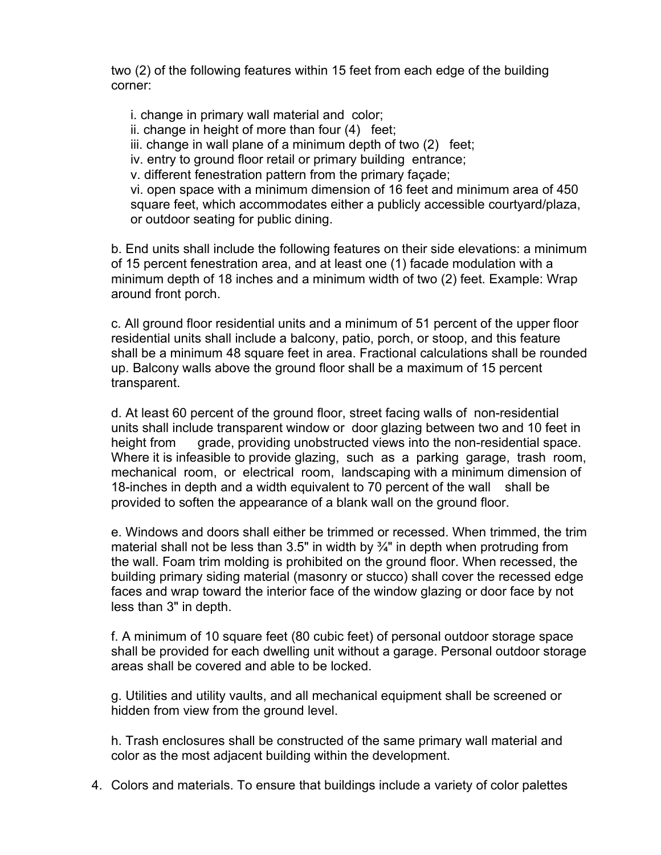two (2) of the following features within 15 feet from each edge of the building corner:

i. change in primary wall material and color;

ii. change in height of more than four (4) feet;

iii. change in wall plane of a minimum depth of two (2) feet;

iv. entry to ground floor retail or primary building entrance;

v. different fenestration pattern from the primary façade;

vi. open space with a minimum dimension of 16 feet and minimum area of 450 square feet, which accommodates either a publicly accessible courtyard/plaza, or outdoor seating for public dining.

b. End units shall include the following features on their side elevations: a minimum of 15 percent fenestration area, and at least one (1) facade modulation with a minimum depth of 18 inches and a minimum width of two (2) feet. Example: Wrap around front porch.

c. All ground floor residential units and a minimum of 51 percent of the upper floor residential units shall include a balcony, patio, porch, or stoop, and this feature shall be a minimum 48 square feet in area. Fractional calculations shall be rounded up. Balcony walls above the ground floor shall be a maximum of 15 percent transparent.

d. At least 60 percent of the ground floor, street facing walls of non-residential units shall include transparent window or door glazing between two and 10 feet in height from grade, providing unobstructed views into the non-residential space. Where it is infeasible to provide glazing, such as a parking garage, trash room, mechanical room, or electrical room, landscaping with a minimum dimension of 18-inches in depth and a width equivalent to 70 percent of the wall shall be provided to soften the appearance of a blank wall on the ground floor.

e. Windows and doors shall either be trimmed or recessed. When trimmed, the trim material shall not be less than 3.5" in width by  $\frac{3}{4}$ " in depth when protruding from the wall. Foam trim molding is prohibited on the ground floor. When recessed, the building primary siding material (masonry or stucco) shall cover the recessed edge faces and wrap toward the interior face of the window glazing or door face by not less than 3" in depth.

f. A minimum of 10 square feet (80 cubic feet) of personal outdoor storage space shall be provided for each dwelling unit without a garage. Personal outdoor storage areas shall be covered and able to be locked.

g. Utilities and utility vaults, and all mechanical equipment shall be screened or hidden from view from the ground level.

h. Trash enclosures shall be constructed of the same primary wall material and color as the most adjacent building within the development.

4. Colors and materials. To ensure that buildings include a variety of color palettes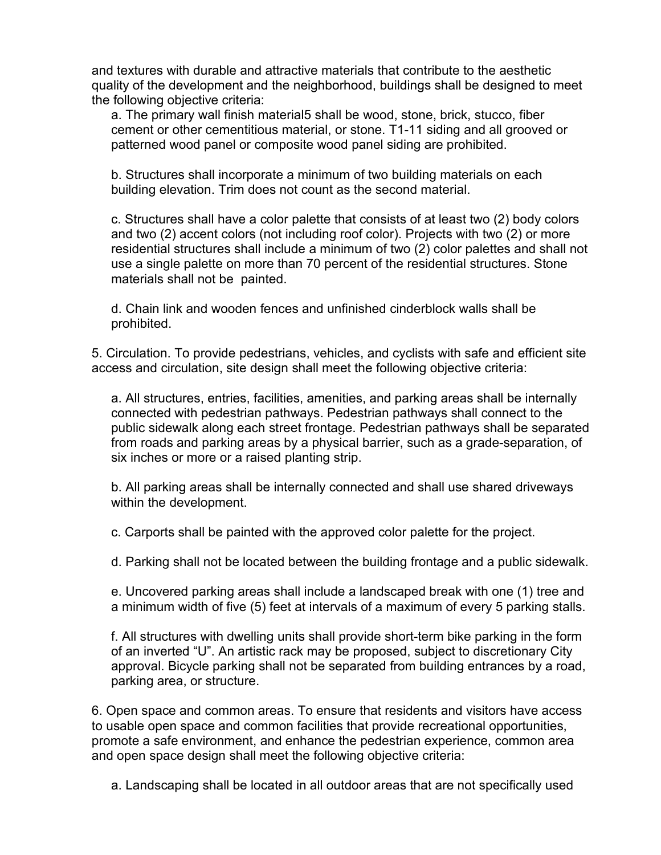and textures with durable and attractive materials that contribute to the aesthetic quality of the development and the neighborhood, buildings shall be designed to meet the following objective criteria:

a. The primary wall finish material5 shall be wood, stone, brick, stucco, fiber cement or other cementitious material, or stone. T1-11 siding and all grooved or patterned wood panel or composite wood panel siding are prohibited.

b. Structures shall incorporate a minimum of two building materials on each building elevation. Trim does not count as the second material.

c. Structures shall have a color palette that consists of at least two (2) body colors and two (2) accent colors (not including roof color). Projects with two (2) or more residential structures shall include a minimum of two (2) color palettes and shall not use a single palette on more than 70 percent of the residential structures. Stone materials shall not be painted.

d. Chain link and wooden fences and unfinished cinderblock walls shall be prohibited.

5. Circulation. To provide pedestrians, vehicles, and cyclists with safe and efficient site access and circulation, site design shall meet the following objective criteria:

a. All structures, entries, facilities, amenities, and parking areas shall be internally connected with pedestrian pathways. Pedestrian pathways shall connect to the public sidewalk along each street frontage. Pedestrian pathways shall be separated from roads and parking areas by a physical barrier, such as a grade-separation, of six inches or more or a raised planting strip.

b. All parking areas shall be internally connected and shall use shared driveways within the development.

c. Carports shall be painted with the approved color palette for the project.

d. Parking shall not be located between the building frontage and a public sidewalk.

e. Uncovered parking areas shall include a landscaped break with one (1) tree and a minimum width of five (5) feet at intervals of a maximum of every 5 parking stalls.

f. All structures with dwelling units shall provide short-term bike parking in the form of an inverted "U". An artistic rack may be proposed, subject to discretionary City approval. Bicycle parking shall not be separated from building entrances by a road, parking area, or structure.

6. Open space and common areas. To ensure that residents and visitors have access to usable open space and common facilities that provide recreational opportunities, promote a safe environment, and enhance the pedestrian experience, common area and open space design shall meet the following objective criteria:

a. Landscaping shall be located in all outdoor areas that are not specifically used